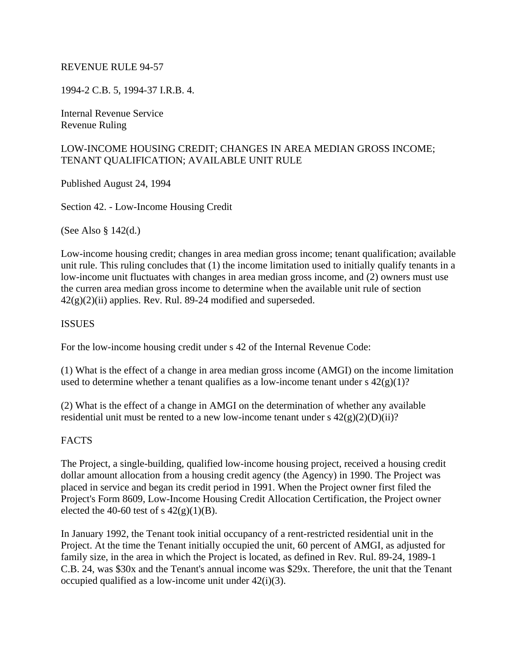#### REVENUE RULE 94-57

1994-2 C.B. 5, 1994-37 I.R.B. 4.

Internal Revenue Service Revenue Ruling

### LOW-INCOME HOUSING CREDIT; CHANGES IN AREA MEDIAN GROSS INCOME; TENANT QUALIFICATION; AVAILABLE UNIT RULE

Published August 24, 1994

Section 42. - Low-Income Housing Credit

(See Also § 142(d.)

Low-income housing credit; changes in area median gross income; tenant qualification; available unit rule. This ruling concludes that (1) the income limitation used to initially qualify tenants in a low-income unit fluctuates with changes in area median gross income, and (2) owners must use the curren area median gross income to determine when the available unit rule of section  $42(g)(2)(ii)$  applies. Rev. Rul. 89-24 modified and superseded.

#### **ISSUES**

For the low-income housing credit under s 42 of the Internal Revenue Code:

(1) What is the effect of a change in area median gross income (AMGI) on the income limitation used to determine whether a tenant qualifies as a low-income tenant under  $s \frac{42(g)(1)}{?}$ 

(2) What is the effect of a change in AMGI on the determination of whether any available residential unit must be rented to a new low-income tenant under s  $42(g)(2)(D)(ii)$ ?

#### **FACTS**

The Project, a single-building, qualified low-income housing project, received a housing credit dollar amount allocation from a housing credit agency (the Agency) in 1990. The Project was placed in service and began its credit period in 1991. When the Project owner first filed the Project's Form 8609, Low-Income Housing Credit Allocation Certification, the Project owner elected the 40-60 test of s  $42(g)(1)(B)$ .

In January 1992, the Tenant took initial occupancy of a rent-restricted residential unit in the Project. At the time the Tenant initially occupied the unit, 60 percent of AMGI, as adjusted for family size, in the area in which the Project is located, as defined in Rev. Rul. 89-24, 1989-1 C.B. 24, was \$30x and the Tenant's annual income was \$29x. Therefore, the unit that the Tenant occupied qualified as a low-income unit under 42(i)(3).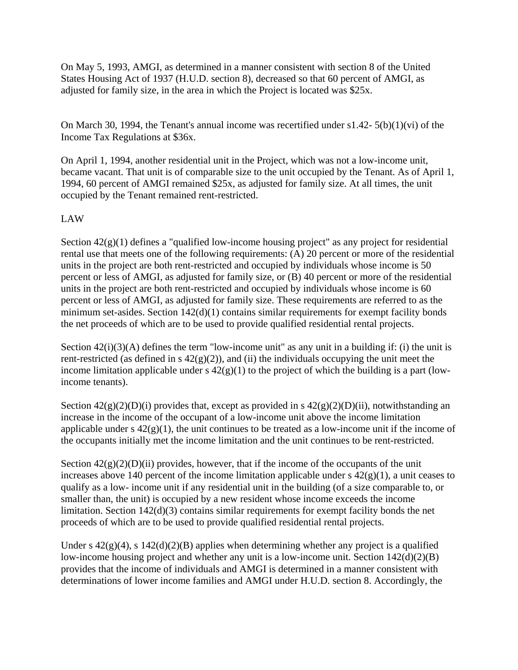On May 5, 1993, AMGI, as determined in a manner consistent with section 8 of the United States Housing Act of 1937 (H.U.D. section 8), decreased so that 60 percent of AMGI, as adjusted for family size, in the area in which the Project is located was \$25x.

On March 30, 1994, the Tenant's annual income was recertified under s1.42- 5(b)(1)(vi) of the Income Tax Regulations at \$36x.

On April 1, 1994, another residential unit in the Project, which was not a low-income unit, became vacant. That unit is of comparable size to the unit occupied by the Tenant. As of April 1, 1994, 60 percent of AMGI remained \$25x, as adjusted for family size. At all times, the unit occupied by the Tenant remained rent-restricted.

# LAW

Section  $42(g)(1)$  defines a "qualified low-income housing project" as any project for residential rental use that meets one of the following requirements: (A) 20 percent or more of the residential units in the project are both rent-restricted and occupied by individuals whose income is 50 percent or less of AMGI, as adjusted for family size, or (B) 40 percent or more of the residential units in the project are both rent-restricted and occupied by individuals whose income is 60 percent or less of AMGI, as adjusted for family size. These requirements are referred to as the minimum set-asides. Section 142(d)(1) contains similar requirements for exempt facility bonds the net proceeds of which are to be used to provide qualified residential rental projects.

Section  $42(i)(3)(A)$  defines the term "low-income unit" as any unit in a building if: (i) the unit is rent-restricted (as defined in s  $42(g)(2)$ ), and (ii) the individuals occupying the unit meet the income limitation applicable under s  $42(g)(1)$  to the project of which the building is a part (lowincome tenants).

Section  $42(g)(2)(D)(i)$  provides that, except as provided in s  $42(g)(2)(D)(ii)$ , notwithstanding an increase in the income of the occupant of a low-income unit above the income limitation applicable under s  $42(g)(1)$ , the unit continues to be treated as a low-income unit if the income of the occupants initially met the income limitation and the unit continues to be rent-restricted.

Section  $42(g)(2)(D)(ii)$  provides, however, that if the income of the occupants of the unit increases above 140 percent of the income limitation applicable under  $s$  42(g)(1), a unit ceases to qualify as a low- income unit if any residential unit in the building (of a size comparable to, or smaller than, the unit) is occupied by a new resident whose income exceeds the income limitation. Section 142(d)(3) contains similar requirements for exempt facility bonds the net proceeds of which are to be used to provide qualified residential rental projects.

Under s  $42(g)(4)$ , s  $142(d)(2)(B)$  applies when determining whether any project is a qualified low-income housing project and whether any unit is a low-income unit. Section 142(d)(2)(B) provides that the income of individuals and AMGI is determined in a manner consistent with determinations of lower income families and AMGI under H.U.D. section 8. Accordingly, the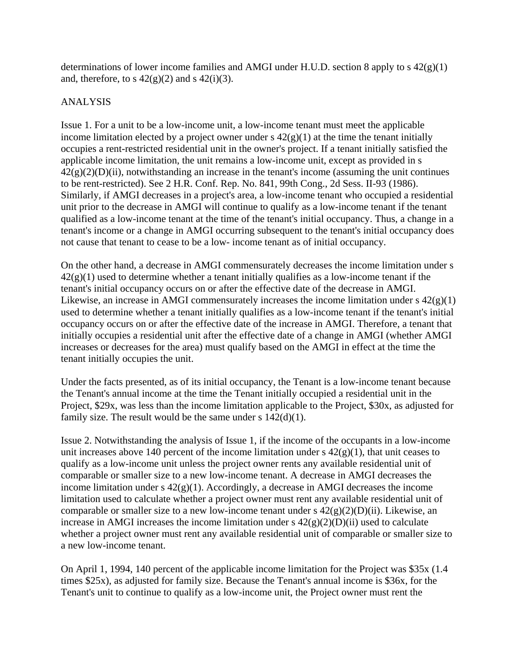determinations of lower income families and AMGI under H.U.D. section 8 apply to s 42(g)(1) and, therefore, to s  $42(g)(2)$  and s  $42(i)(3)$ .

### ANALYSIS

Issue 1. For a unit to be a low-income unit, a low-income tenant must meet the applicable income limitation elected by a project owner under  $s \frac{42(g)}{1}$  at the time the tenant initially occupies a rent-restricted residential unit in the owner's project. If a tenant initially satisfied the applicable income limitation, the unit remains a low-income unit, except as provided in s  $42(g)(2)(D)(ii)$ , notwithstanding an increase in the tenant's income (assuming the unit continues to be rent-restricted). See 2 H.R. Conf. Rep. No. 841, 99th Cong., 2d Sess. II-93 (1986). Similarly, if AMGI decreases in a project's area, a low-income tenant who occupied a residential unit prior to the decrease in AMGI will continue to qualify as a low-income tenant if the tenant qualified as a low-income tenant at the time of the tenant's initial occupancy. Thus, a change in a tenant's income or a change in AMGI occurring subsequent to the tenant's initial occupancy does not cause that tenant to cease to be a low- income tenant as of initial occupancy.

On the other hand, a decrease in AMGI commensurately decreases the income limitation under s  $42(g)(1)$  used to determine whether a tenant initially qualifies as a low-income tenant if the tenant's initial occupancy occurs on or after the effective date of the decrease in AMGI. Likewise, an increase in AMGI commensurately increases the income limitation under  $s\ 42(g)(1)$ used to determine whether a tenant initially qualifies as a low-income tenant if the tenant's initial occupancy occurs on or after the effective date of the increase in AMGI. Therefore, a tenant that initially occupies a residential unit after the effective date of a change in AMGI (whether AMGI increases or decreases for the area) must qualify based on the AMGI in effect at the time the tenant initially occupies the unit.

Under the facts presented, as of its initial occupancy, the Tenant is a low-income tenant because the Tenant's annual income at the time the Tenant initially occupied a residential unit in the Project, \$29x, was less than the income limitation applicable to the Project, \$30x, as adjusted for family size. The result would be the same under s  $142(d)(1)$ .

Issue 2. Notwithstanding the analysis of Issue 1, if the income of the occupants in a low-income unit increases above 140 percent of the income limitation under  $s$  42(g)(1), that unit ceases to qualify as a low-income unit unless the project owner rents any available residential unit of comparable or smaller size to a new low-income tenant. A decrease in AMGI decreases the income limitation under  $s$  42(g)(1). Accordingly, a decrease in AMGI decreases the income limitation used to calculate whether a project owner must rent any available residential unit of comparable or smaller size to a new low-income tenant under s  $42(g)(2)(D)(ii)$ . Likewise, an increase in AMGI increases the income limitation under  $s \frac{42(g)(2)(D)(ii)}{2}$  used to calculate whether a project owner must rent any available residential unit of comparable or smaller size to a new low-income tenant.

On April 1, 1994, 140 percent of the applicable income limitation for the Project was \$35x (1.4 times \$25x), as adjusted for family size. Because the Tenant's annual income is \$36x, for the Tenant's unit to continue to qualify as a low-income unit, the Project owner must rent the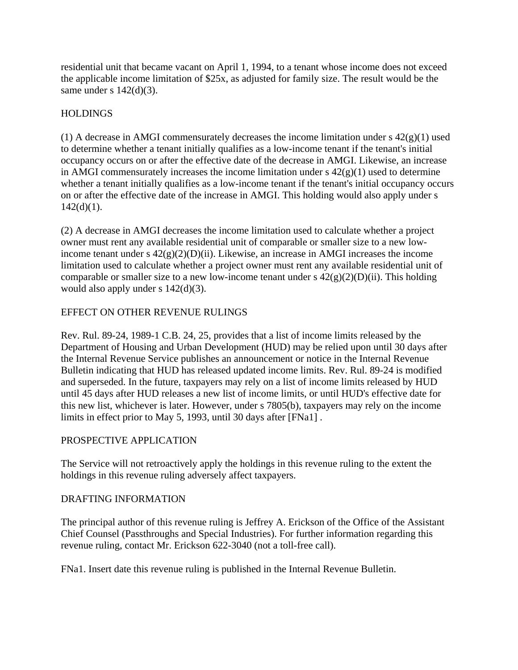residential unit that became vacant on April 1, 1994, to a tenant whose income does not exceed the applicable income limitation of \$25x, as adjusted for family size. The result would be the same under s  $142(d)(3)$ .

## HOLDINGS

(1) A decrease in AMGI commensurately decreases the income limitation under  $s \frac{42(g)(1)}{1}$  used to determine whether a tenant initially qualifies as a low-income tenant if the tenant's initial occupancy occurs on or after the effective date of the decrease in AMGI. Likewise, an increase in AMGI commensurately increases the income limitation under  $s \frac{42(g)}{1}$  used to determine whether a tenant initially qualifies as a low-income tenant if the tenant's initial occupancy occurs on or after the effective date of the increase in AMGI. This holding would also apply under s  $142(d)(1)$ .

(2) A decrease in AMGI decreases the income limitation used to calculate whether a project owner must rent any available residential unit of comparable or smaller size to a new lowincome tenant under s  $42(g)(2)(D)(ii)$ . Likewise, an increase in AMGI increases the income limitation used to calculate whether a project owner must rent any available residential unit of comparable or smaller size to a new low-income tenant under s  $42(g)(2)(D)(ii)$ . This holding would also apply under s 142(d)(3).

# EFFECT ON OTHER REVENUE RULINGS

Rev. Rul. 89-24, 1989-1 C.B. 24, 25, provides that a list of income limits released by the Department of Housing and Urban Development (HUD) may be relied upon until 30 days after the Internal Revenue Service publishes an announcement or notice in the Internal Revenue Bulletin indicating that HUD has released updated income limits. Rev. Rul. 89-24 is modified and superseded. In the future, taxpayers may rely on a list of income limits released by HUD until 45 days after HUD releases a new list of income limits, or until HUD's effective date for this new list, whichever is later. However, under s 7805(b), taxpayers may rely on the income limits in effect prior to May 5, 1993, until 30 days after [FNa1] .

# PROSPECTIVE APPLICATION

The Service will not retroactively apply the holdings in this revenue ruling to the extent the holdings in this revenue ruling adversely affect taxpayers.

### DRAFTING INFORMATION

The principal author of this revenue ruling is Jeffrey A. Erickson of the Office of the Assistant Chief Counsel (Passthroughs and Special Industries). For further information regarding this revenue ruling, contact Mr. Erickson 622-3040 (not a toll-free call).

FNa1. Insert date this revenue ruling is published in the Internal Revenue Bulletin.